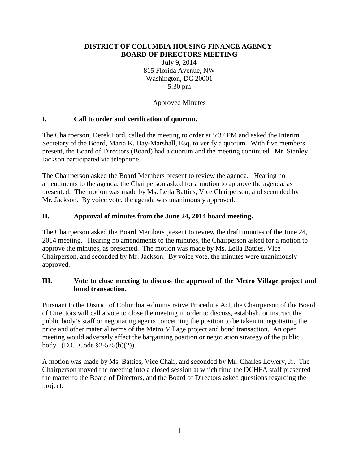### **DISTRICT OF COLUMBIA HOUSING FINANCE AGENCY BOARD OF DIRECTORS MEETING**

July 9, 2014 815 Florida Avenue, NW Washington, DC 20001 5:30 pm

# Approved Minutes

# **I. Call to order and verification of quorum.**

The Chairperson, Derek Ford, called the meeting to order at 5:37 PM and asked the Interim Secretary of the Board, Maria K. Day-Marshall, Esq. to verify a quorum. With five members present, the Board of Directors (Board) had a quorum and the meeting continued. Mr. Stanley Jackson participated via telephone.

The Chairperson asked the Board Members present to review the agenda. Hearing no amendments to the agenda, the Chairperson asked for a motion to approve the agenda, as presented. The motion was made by Ms. Leila Batties, Vice Chairperson, and seconded by Mr. Jackson. By voice vote, the agenda was unanimously approved.

# **II. Approval of minutes from the June 24, 2014 board meeting.**

The Chairperson asked the Board Members present to review the draft minutes of the June 24, 2014 meeting. Hearing no amendments to the minutes, the Chairperson asked for a motion to approve the minutes, as presented. The motion was made by Ms. Leila Batties, Vice Chairperson, and seconded by Mr. Jackson. By voice vote, the minutes were unanimously approved.

## **III. Vote to close meeting to discuss the approval of the Metro Village project and bond transaction.**

Pursuant to the District of Columbia Administrative Procedure Act, the Chairperson of the Board of Directors will call a vote to close the meeting in order to discuss, establish, or instruct the public body's staff or negotiating agents concerning the position to be taken in negotiating the price and other material terms of the Metro Village project and bond transaction. An open meeting would adversely affect the bargaining position or negotiation strategy of the public body. (D.C. Code §2-575(b)(2)).

A motion was made by Ms. Batties, Vice Chair, and seconded by Mr. Charles Lowery, Jr. The Chairperson moved the meeting into a closed session at which time the DCHFA staff presented the matter to the Board of Directors, and the Board of Directors asked questions regarding the project.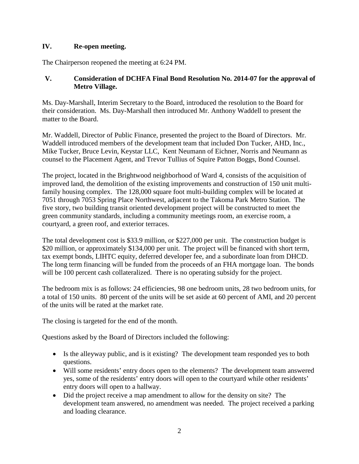# **IV. Re-open meeting.**

The Chairperson reopened the meeting at 6:24 PM.

# **V. Consideration of DCHFA Final Bond Resolution No. 2014-07 for the approval of Metro Village.**

Ms. Day-Marshall, Interim Secretary to the Board, introduced the resolution to the Board for their consideration. Ms. Day-Marshall then introduced Mr. Anthony Waddell to present the matter to the Board.

Mr. Waddell, Director of Public Finance, presented the project to the Board of Directors. Mr. Waddell introduced members of the development team that included Don Tucker, AHD, Inc., Mike Tucker, Bruce Levin, Keystar LLC, Kent Neumann of Eichner, Norris and Neumann as counsel to the Placement Agent, and Trevor Tullius of Squire Patton Boggs, Bond Counsel.

The project, located in the Brightwood neighborhood of Ward 4, consists of the acquisition of improved land, the demolition of the existing improvements and construction of 150 unit multifamily housing complex. The 128,000 square foot multi-building complex will be located at 7051 through 7053 Spring Place Northwest, adjacent to the Takoma Park Metro Station. The five story, two building transit oriented development project will be constructed to meet the green community standards, including a community meetings room, an exercise room, a courtyard, a green roof, and exterior terraces.

The total development cost is \$33.9 million, or \$227,000 per unit. The construction budget is \$20 million, or approximately \$134,000 per unit. The project will be financed with short term, tax exempt bonds, LIHTC equity, deferred developer fee, and a subordinate loan from DHCD. The long term financing will be funded from the proceeds of an FHA mortgage loan. The bonds will be 100 percent cash collateralized. There is no operating subsidy for the project.

The bedroom mix is as follows: 24 efficiencies, 98 one bedroom units, 28 two bedroom units, for a total of 150 units. 80 percent of the units will be set aside at 60 percent of AMI, and 20 percent of the units will be rated at the market rate.

The closing is targeted for the end of the month.

Questions asked by the Board of Directors included the following:

- Is the alleyway public, and is it existing? The development team responded yes to both questions.
- Will some residents' entry doors open to the elements? The development team answered yes, some of the residents' entry doors will open to the courtyard while other residents' entry doors will open to a hallway.
- Did the project receive a map amendment to allow for the density on site? The development team answered, no amendment was needed. The project received a parking and loading clearance.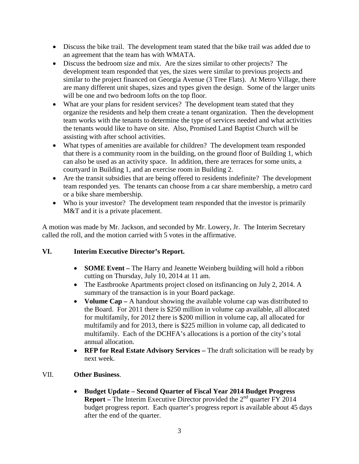- Discuss the bike trail. The development team stated that the bike trail was added due to an agreement that the team has with WMATA.
- Discuss the bedroom size and mix. Are the sizes similar to other projects? The development team responded that yes, the sizes were similar to previous projects and similar to the project financed on Georgia Avenue (3 Tree Flats). At Metro Village, there are many different unit shapes, sizes and types given the design. Some of the larger units will be one and two bedroom lofts on the top floor.
- What are your plans for resident services? The development team stated that they organize the residents and help them create a tenant organization. Then the development team works with the tenants to determine the type of services needed and what activities the tenants would like to have on site. Also, Promised Land Baptist Church will be assisting with after school activities.
- What types of amenities are available for children? The development team responded that there is a community room in the building, on the ground floor of Building 1, which can also be used as an activity space. In addition, there are terraces for some units, a courtyard in Building 1, and an exercise room in Building 2.
- Are the transit subsidies that are being offered to residents indefinite? The development team responded yes. The tenants can choose from a car share membership, a metro card or a bike share membership.
- Who is your investor? The development team responded that the investor is primarily M&T and it is a private placement.

A motion was made by Mr. Jackson, and seconded by Mr. Lowery, Jr. The Interim Secretary called the roll, and the motion carried with 5 votes in the affirmative.

## **VI. Interim Executive Director's Report.**

- **SOME Event –** The Harry and Jeanette Weinberg building will hold a ribbon cutting on Thursday, July 10, 2014 at 11 am.
- The Eastbrooke Apartments project closed on its financing on July 2, 2014. A summary of the transaction is in your Board package.
- **Volume Cap** A handout showing the available volume cap was distributed to the Board. For 2011 there is \$250 million in volume cap available, all allocated for multifamily, for 2012 there is \$200 million in volume cap, all allocated for multifamily and for 2013, there is \$225 million in volume cap, all dedicated to multifamily. Each of the DCHFA's allocations is a portion of the city's total annual allocation.
- **RFP for Real Estate Advisory Services –** The draft solicitation will be ready by next week.

## VII. **Other Business**.

• **Budget Update – Second Quarter of Fiscal Year 2014 Budget Progress Report** – The Interim Executive Director provided the 2<sup>nd</sup> quarter FY 2014 budget progress report. Each quarter's progress report is available about 45 days after the end of the quarter.